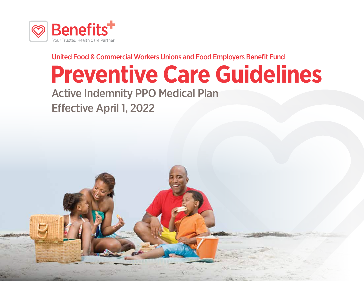

United Food & Commercial Workers Unions and Food Employers Benefit Fund

# **Preventive Care Guidelines**

Active Indemnity PPO Medical Plan Effective April 1, 2022

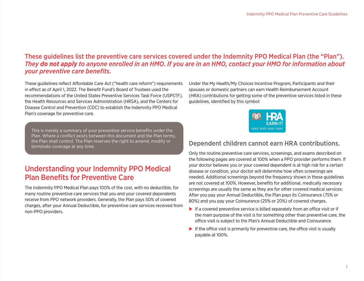#### These guidelines list the preventive care services covered under the Indemnity PPO Medical Plan (the "Plan"). *They do not apply to anyone enrolled in an HMO. If you are in an HMO, contact your HMO for information about your preventive care benefits.*

These guidelines reflect Affordable Care Act ("health care reform") requirements in effect as of April 1, 2022. The Benefit Fund's Board of Trustees used the recommendations of the United States Preventive Services Task Force (USPSTF), the Health Resources and Services Administration (HRSA), and the Centers for Disease Control and Prevention (CDC) to establish the Indemnity PPO Medical Plan's coverage for preventive care.

This is merely a summary of your preventive service benefits under the Plan. Where a conflict exists between this document and the Plan terms, the Plan shall control. The Plan reserves the right to amend, modify or terminate coverage at any time.

## Understanding your Indemnity PPO Medical Plan Benefits for Preventive Care

The Indemnity PPO Medical Plan pays 100% of the cost, with no deductible, for many routine preventive care services that you and your covered dependents receive from PPO network providers. Generally, the Plan pays 50% of covered charges, after your Annual Deductible, for preventive care services received from non-PPO providers.

Under the My Health/My Choices Incentive Program, Participants and their spouses or domestic partners can earn Health Reimbursement Account (HRA) contributions for getting some of the preventive services listed in these guidelines, identified by this symbol:



#### Dependent children cannot earn HRA contributions.

Only the routine preventive care services, screenings, and exams described on the following pages are covered at 100% when a PPO provider performs them. If your doctor believes you or your covered dependent is at high risk for a certain disease or condition, your doctor will determine how often screenings are needed. Additional screenings beyond the frequency shown in these guidelines are not covered at 100%. However, benefits for additional, medically necessary screenings are usually the same as they are for other covered medical services: After you pay your Annual Deductible, the Plan pays its Coinsurance (75% or 80%) and you pay your Coinsurance (25% or 20%) of covered charges.

- $\blacktriangleright$  If a covered preventive service is billed separately from an office visit or if the main purpose of the visit is for something other than preventive care, the office visit is subject to the Plan's Annual Deductible and Coinsurance.
- $\blacktriangleright$  If the office visit is primarily for preventive care, the office visit is usually payable at 100%.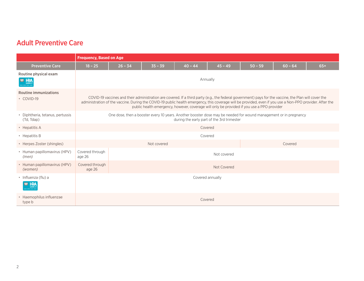|                                                         | <b>Frequency, Based on Age</b>           |                                                                                                                                                                                                                                                                                                                                                                                                                  |           |           |           |           |           |       |
|---------------------------------------------------------|------------------------------------------|------------------------------------------------------------------------------------------------------------------------------------------------------------------------------------------------------------------------------------------------------------------------------------------------------------------------------------------------------------------------------------------------------------------|-----------|-----------|-----------|-----------|-----------|-------|
| <b>Preventive Care</b>                                  | $18 - 25$                                | $26 - 34$                                                                                                                                                                                                                                                                                                                                                                                                        | $35 - 39$ | $40 - 44$ | $45 - 49$ | $50 - 59$ | $60 - 64$ | $65+$ |
| Routine physical exam<br><b>MO HRA</b><br><b>FARN I</b> |                                          | Annually                                                                                                                                                                                                                                                                                                                                                                                                         |           |           |           |           |           |       |
| <b>Routine immunizations</b><br>• COVID-19              |                                          | COVID-19 vaccines and their administration are covered. If a third party (e.g., the federal government) pays for the vaccine, the Plan will cover the<br>administration of the vaccine. During the COVID-19 public health emergency, this coverage will be provided, even if you use a Non-PPO provider. After the<br>public health emergency, however, coverage will only be provided if you use a PPO provider |           |           |           |           |           |       |
| • Diphtheria, tetanus, pertussis<br>(Td, Tdap)          |                                          | One dose, then a booster every 10 years. Another booster dose may be needed for wound management or in pregnancy<br>during the early part of the 3rd trimester                                                                                                                                                                                                                                                   |           |           |           |           |           |       |
| • Hepatitis A                                           |                                          | Covered                                                                                                                                                                                                                                                                                                                                                                                                          |           |           |           |           |           |       |
| • Hepatitis B                                           |                                          | Covered                                                                                                                                                                                                                                                                                                                                                                                                          |           |           |           |           |           |       |
| • Herpes Zoster (shingles)                              | Not covered<br>Covered                   |                                                                                                                                                                                                                                                                                                                                                                                                                  |           |           |           |           |           |       |
| • Human papillomavirus (HPV)<br>(men)                   | Covered through<br>age 26                | Not covered                                                                                                                                                                                                                                                                                                                                                                                                      |           |           |           |           |           |       |
| • Human papillomavirus (HPV)<br>(women)                 | Covered through<br>Not Covered<br>age 26 |                                                                                                                                                                                                                                                                                                                                                                                                                  |           |           |           |           |           |       |
| · Influenza (flu) a<br><b>HRA</b><br>EARNi              | Covered annually                         |                                                                                                                                                                                                                                                                                                                                                                                                                  |           |           |           |           |           |       |
| • Haemophilus influenzae<br>type b                      |                                          |                                                                                                                                                                                                                                                                                                                                                                                                                  |           | Covered   |           |           |           |       |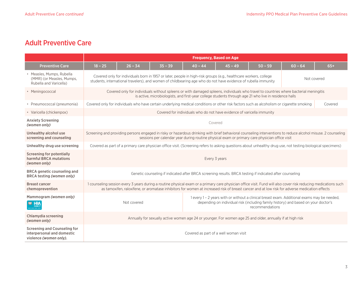|                                                                                             | <b>Frequency, Based on Age</b>                                                                                                                                                                                                                                                                                   |           |           |           |                                                                                                                                           |           |           |         |
|---------------------------------------------------------------------------------------------|------------------------------------------------------------------------------------------------------------------------------------------------------------------------------------------------------------------------------------------------------------------------------------------------------------------|-----------|-----------|-----------|-------------------------------------------------------------------------------------------------------------------------------------------|-----------|-----------|---------|
| <b>Preventive Care</b>                                                                      | $18 - 25$                                                                                                                                                                                                                                                                                                        | $26 - 34$ | $35 - 39$ | $40 - 44$ | $45 - 49$                                                                                                                                 | $50 - 59$ | $60 - 64$ | $65+$   |
| · Measles, Mumps, Rubella<br>(MMR) (or Measles, Mumps,<br>Rubella and Varicella)            | Covered only for individuals born in 1957 or later, people in high-risk groups (e.g., healthcare workers, college<br>Not covered<br>students, international travelers), and women of childbearing age who do not have evidence of rubella immunity                                                               |           |           |           |                                                                                                                                           |           |           |         |
| • Meningococcal                                                                             | Covered only for individuals without spleens or with damaged spleens, individuals who travel to countries where bacterial meningitis<br>is active, microbiologists, and first-year college students through age 21 who live in residence halls                                                                   |           |           |           |                                                                                                                                           |           |           |         |
| • Pneumococcal (pneumonia)                                                                  |                                                                                                                                                                                                                                                                                                                  |           |           |           | Covered only for individuals who have certain underlying medical conditions or other risk factors such as alcoholism or cigarette smoking |           |           | Covered |
| • Varicella (chickenpox)                                                                    |                                                                                                                                                                                                                                                                                                                  |           |           |           | Covered for individuals who do not have evidence of varicella immunity                                                                    |           |           |         |
| <b>Anxiety Screening</b><br>(women only)                                                    |                                                                                                                                                                                                                                                                                                                  |           |           |           | Covered                                                                                                                                   |           |           |         |
| Unhealthy alcohol use<br>screening and counseling                                           | Screening and providing persons engaged in risky or hazardous drinking with brief behavioral counseling interventions to reduce alcohol misuse. 2 counseling<br>sessions per calendar year during routine physical exam or primary care physician office visit                                                   |           |           |           |                                                                                                                                           |           |           |         |
| Unhealthy drug use screening                                                                | Covered as part of a primary care physician office visit. (Screening refers to asking questions about unhealthy drug use, not testing biological specimens)                                                                                                                                                      |           |           |           |                                                                                                                                           |           |           |         |
| <b>Screening for potentially</b><br>harmful BRCA mutations<br>(women only)                  | Every 3 years                                                                                                                                                                                                                                                                                                    |           |           |           |                                                                                                                                           |           |           |         |
| <b>BRCA</b> genetic counseling and<br>BRCA testing (women only)                             | Genetic counseling if indicated after BRCA screening results. BRCA testing if indicated after counseling                                                                                                                                                                                                         |           |           |           |                                                                                                                                           |           |           |         |
| <b>Breast cancer</b><br>chemoprevention                                                     | 1 counseling session every 3 years during a routine physical exam or a primary care physician office visit. Fund will also cover risk reducing medications such<br>as tamoxifen, raloxifene, or aromatase inhibitors for women at increased risk of breast cancer and at low risk for adverse medication effects |           |           |           |                                                                                                                                           |           |           |         |
| Mammogram (women only)<br><b>190 HRA</b>                                                    | 1 every 1 - 2 years with or without a clinical breast exam. Additional exams may be needed,<br>depending on individual risk (including family history) and based on your doctor's<br>Not covered<br>recommendations                                                                                              |           |           |           |                                                                                                                                           |           |           |         |
| Chlamydia screening<br>(women only)                                                         | Annually for sexually active women age 24 or younger. For women age 25 and older, annually if at high risk                                                                                                                                                                                                       |           |           |           |                                                                                                                                           |           |           |         |
| <b>Screening and Counseling for</b><br>interpersonal and domestic<br>violence (women only). |                                                                                                                                                                                                                                                                                                                  |           |           |           | Covered as part of a well woman visit                                                                                                     |           |           |         |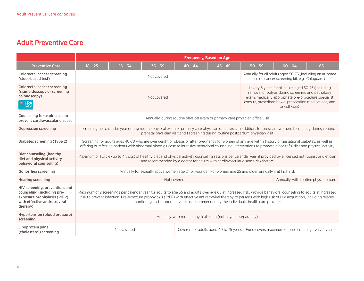|                                                                                                                                          | <b>Frequency, Based on Age</b>                                                                                                                                                                                                                                                                                                                                                                                               |                                                                                                                                                                                                                                                      |             |           |                                                                                              |           |                                                                                                                                                                                                                                           |                                      |  |
|------------------------------------------------------------------------------------------------------------------------------------------|------------------------------------------------------------------------------------------------------------------------------------------------------------------------------------------------------------------------------------------------------------------------------------------------------------------------------------------------------------------------------------------------------------------------------|------------------------------------------------------------------------------------------------------------------------------------------------------------------------------------------------------------------------------------------------------|-------------|-----------|----------------------------------------------------------------------------------------------|-----------|-------------------------------------------------------------------------------------------------------------------------------------------------------------------------------------------------------------------------------------------|--------------------------------------|--|
| <b>Preventive Care</b>                                                                                                                   | $18 - 25$                                                                                                                                                                                                                                                                                                                                                                                                                    | $26 - 34$                                                                                                                                                                                                                                            | $35 - 39$   | $40 - 44$ | $45 - 49$                                                                                    | $50 - 59$ | $60 - 64$                                                                                                                                                                                                                                 | $65+$                                |  |
| <b>Colorectal cancer screening</b><br>(stool-based test)                                                                                 |                                                                                                                                                                                                                                                                                                                                                                                                                              |                                                                                                                                                                                                                                                      | Not covered |           |                                                                                              |           | Annually for all adults aged 50-75 (including an at-home<br>colon cancer screening kit, e.g., Cologuard)                                                                                                                                  |                                      |  |
| <b>Colorectal cancer screening</b><br>(sigmoidoscopy or screening<br>colonoscopy)<br><b>POP HRA</b>                                      | Not covered                                                                                                                                                                                                                                                                                                                                                                                                                  |                                                                                                                                                                                                                                                      |             |           |                                                                                              |           | 1 every 5 years for all adults aged 50-75 (including<br>removal of polyps during screening and pathology<br>exam, medically appropriate pre-procedure specialist<br>consult, prescribed bowel preparation medications, and<br>anesthesia) |                                      |  |
| Counseling for aspirin use to<br>prevent cardiovascular disease                                                                          |                                                                                                                                                                                                                                                                                                                                                                                                                              | Annually, during routine physical exam or primary care physician office visit                                                                                                                                                                        |             |           |                                                                                              |           |                                                                                                                                                                                                                                           |                                      |  |
| <b>Depression screening</b>                                                                                                              |                                                                                                                                                                                                                                                                                                                                                                                                                              | 1 screening per calendar year during routine physical exam or primary care physician office visit. In addition, for pregnant women, 1 screening during routine<br>prenatal physician visit and 1 screening during routine postpartum physician visit |             |           |                                                                                              |           |                                                                                                                                                                                                                                           |                                      |  |
| Diabetes screening (Type 2)                                                                                                              | Screening for adults ages 40-70 who are overweight or obese, or after pregnancy for women of any age with a history of gestational diabetes, as well as<br>offering or referring patients with abnormal blood glucose to intensive behavioral counseling interventions to promote a healthful diet and physical activity                                                                                                     |                                                                                                                                                                                                                                                      |             |           |                                                                                              |           |                                                                                                                                                                                                                                           |                                      |  |
| Diet counseling (healthy<br>diet and physical activity<br>behavioral counseling)                                                         | Maximum of 1 cycle (up to 4 visits) of healthy diet and physical activity counseling sessions per calendar year if provided by a licensed nutritionist or dietician<br>and recommended by a doctor for adults with cardiovascular disease risk factors                                                                                                                                                                       |                                                                                                                                                                                                                                                      |             |           |                                                                                              |           |                                                                                                                                                                                                                                           |                                      |  |
| Gonorrhea screening                                                                                                                      | Annually for sexually active women age 24 or younger. For women age 25 and older, annually if at high risk                                                                                                                                                                                                                                                                                                                   |                                                                                                                                                                                                                                                      |             |           |                                                                                              |           |                                                                                                                                                                                                                                           |                                      |  |
| <b>Hearing screening</b>                                                                                                                 |                                                                                                                                                                                                                                                                                                                                                                                                                              |                                                                                                                                                                                                                                                      | Not covered |           |                                                                                              |           |                                                                                                                                                                                                                                           | Annually, with routine physical exam |  |
| HIV screening, prevention, and<br>counseling (including pre-<br>exposure prophylaxis (PrEP)<br>with effective antiretroviral<br>therapy) | Maximum of 2 screenings per calendar year for adults to age 65 and adults over age 65 at increased risk. Provide behavioral counseling to adults at increased<br>risk to prevent infection. Pre-exposure prophylaxis (PrEP) with effective antiretroviral therapy to persons with high risk of HIV acquisition, including related<br>monitoring and support services as recommended by the individual's health care provider |                                                                                                                                                                                                                                                      |             |           |                                                                                              |           |                                                                                                                                                                                                                                           |                                      |  |
| Hypertension (blood pressure)<br>screening                                                                                               | Annually, with routine physical exam (not payable separately)                                                                                                                                                                                                                                                                                                                                                                |                                                                                                                                                                                                                                                      |             |           |                                                                                              |           |                                                                                                                                                                                                                                           |                                      |  |
| Lipoprotein panel<br>(cholesterol) screening                                                                                             |                                                                                                                                                                                                                                                                                                                                                                                                                              | Not covered                                                                                                                                                                                                                                          |             |           | Covered for adults aged 40 to 75 years. (Fund covers maximum of one screening every 5 years) |           |                                                                                                                                                                                                                                           |                                      |  |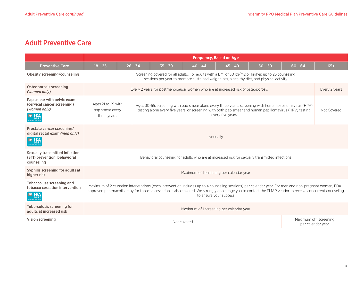|                                                                                            | <b>Frequency, Based on Age</b>                                                                                                                                                                                                                                                                                                           |                                                                                                |           |                                                                                                                                                                                                 |           |           |                   |                        |
|--------------------------------------------------------------------------------------------|------------------------------------------------------------------------------------------------------------------------------------------------------------------------------------------------------------------------------------------------------------------------------------------------------------------------------------------|------------------------------------------------------------------------------------------------|-----------|-------------------------------------------------------------------------------------------------------------------------------------------------------------------------------------------------|-----------|-----------|-------------------|------------------------|
| <b>Preventive Care</b>                                                                     | $18 - 25$                                                                                                                                                                                                                                                                                                                                | $26 - 34$                                                                                      | $35 - 39$ | $40 - 44$                                                                                                                                                                                       | $45 - 49$ | $50 - 59$ | $60 - 64$         | $65+$                  |
| Obesity screening/counseling                                                               |                                                                                                                                                                                                                                                                                                                                          |                                                                                                |           | Screening covered for all adults. For adults with a BMI of 30 kg/m2 or higher, up to 26 counseling<br>sessions per year to promote sustained weight loss, a healthy diet, and physical activity |           |           |                   |                        |
| Osteoporosis screening<br>(women only)                                                     |                                                                                                                                                                                                                                                                                                                                          | Every 2 years for postmenopausal women who are at increased risk of osteoporosis               |           |                                                                                                                                                                                                 |           |           |                   | Every 2 years          |
| Pap smear with pelvic exam<br>(cervical cancer screening)<br>(women only)<br><b>MO HRA</b> | Ages 21 to 29 with<br>Ages 30-65, screening with pap smear alone every three years, screening with human papillomavirus (HPV)<br>testing alone every five years, or screening with both pap smear and human papillomavirus (HPV) testing<br>pap smear every<br>every five years<br>three years.                                          |                                                                                                |           |                                                                                                                                                                                                 |           |           | Not Covered       |                        |
| Prostate cancer screening/<br>digital rectal exam (men only)<br><b>HRA</b>                 | Annually                                                                                                                                                                                                                                                                                                                                 |                                                                                                |           |                                                                                                                                                                                                 |           |           |                   |                        |
| Sexually transmitted infection<br>(STI) prevention: behavioral<br>counseling               |                                                                                                                                                                                                                                                                                                                                          | Behavioral counseling for adults who are at increased risk for sexually transmitted infections |           |                                                                                                                                                                                                 |           |           |                   |                        |
| Syphilis screening for adults at<br>higher risk                                            | Maximum of 1 screening per calendar year                                                                                                                                                                                                                                                                                                 |                                                                                                |           |                                                                                                                                                                                                 |           |           |                   |                        |
| Tobacco use screening and<br>tobacco cessation intervention<br><b>MO HRA</b>               | Maximum of 2 cessation interventions (each intervention includes up to 4 counseling sessions) per calendar year. For men and non-pregnant women, FDA-<br>approved pharmacotherapy for tobacco cessation is also covered. We strongly encourage you to contact the EMAP vendor to receive concurrent counseling<br>to ensure your success |                                                                                                |           |                                                                                                                                                                                                 |           |           |                   |                        |
| Tuberculosis screening for<br>adults at increased risk                                     |                                                                                                                                                                                                                                                                                                                                          | Maximum of 1 screening per calendar year                                                       |           |                                                                                                                                                                                                 |           |           |                   |                        |
| Vision screening                                                                           |                                                                                                                                                                                                                                                                                                                                          |                                                                                                |           | Not covered                                                                                                                                                                                     |           |           | per calendar year | Maximum of 1 screening |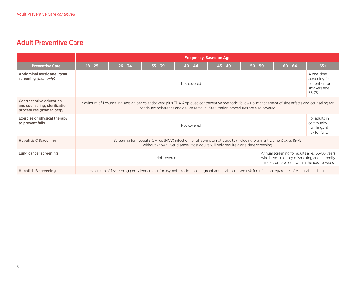|                                                                                     | <b>Frequency, Based on Age.</b>                                                                                                                                                                                                          |                                                                                                                                                 |           |           |           |           |                                                               |                                                                          |
|-------------------------------------------------------------------------------------|------------------------------------------------------------------------------------------------------------------------------------------------------------------------------------------------------------------------------------------|-------------------------------------------------------------------------------------------------------------------------------------------------|-----------|-----------|-----------|-----------|---------------------------------------------------------------|--------------------------------------------------------------------------|
| <b>Preventive Care</b>                                                              | $18 - 25$                                                                                                                                                                                                                                | $26 - 34$                                                                                                                                       | $35 - 39$ | $40 - 44$ | $45 - 49$ | $50 - 59$ | $60 - 64$                                                     | $65+$                                                                    |
| Abdominal aortic aneurysm<br>screening (men only)                                   | Not covered                                                                                                                                                                                                                              |                                                                                                                                                 |           |           |           |           |                                                               | A one-time<br>screening for<br>current or former<br>smokers age<br>65-75 |
| Contraceptive education<br>and counseling, sterilization<br>procedures (women only) | Maximum of 1 counseling session per calendar year plus FDA-Approved contraceptive methods, follow up, management of side effects and counseling for<br>continued adherence and device removal. Sterilization procedures are also covered |                                                                                                                                                 |           |           |           |           |                                                               |                                                                          |
| <b>Exercise or physical therapy</b><br>to prevent falls                             | Not covered                                                                                                                                                                                                                              |                                                                                                                                                 |           |           |           |           | For adults in<br>community<br>dwellings at<br>risk for falls. |                                                                          |
| <b>Hepatitis C Screening</b>                                                        | Screening for hepatitis C virus (HCV) infection for all asymptomatic adults (including pregnant women) ages 18-79<br>without known liver disease. Most adults will only require a one-time screening                                     |                                                                                                                                                 |           |           |           |           |                                                               |                                                                          |
| Lung cancer screening                                                               | Annual screening for adults ages 55-80 years<br>Not covered<br>who have a history of smoking and currently<br>smoke, or have quit within the past 15 years                                                                               |                                                                                                                                                 |           |           |           |           |                                                               |                                                                          |
| <b>Hepatitis B screening</b>                                                        |                                                                                                                                                                                                                                          | Maximum of 1 screening per calendar year for asymptomatic, non-pregnant adults at increased risk for infection regardless of vaccination status |           |           |           |           |                                                               |                                                                          |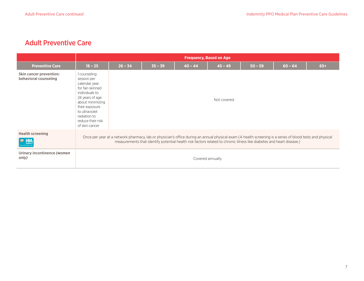|                                                               |                                                                                                                                                                                                                                                                                    | <b>Frequency, Based on Age</b> |           |           |             |           |           |       |  |
|---------------------------------------------------------------|------------------------------------------------------------------------------------------------------------------------------------------------------------------------------------------------------------------------------------------------------------------------------------|--------------------------------|-----------|-----------|-------------|-----------|-----------|-------|--|
| <b>Preventive Care</b>                                        | $18 - 25$                                                                                                                                                                                                                                                                          | $26 - 34$                      | $35 - 39$ | $40 - 44$ | $45 - 49$   | $50 - 59$ | $60 - 64$ | $65+$ |  |
| Skin cancer prevention:<br>behavioral counseling              | 1 counseling<br>session per<br>calendar year<br>for fair-skinned<br>individuals to<br>24 years of age<br>about minimizing<br>their exposure<br>to ultraviolet<br>radiation to<br>reduce their risk<br>of skin cancer                                                               |                                |           |           | Not covered |           |           |       |  |
| <b>Health screening</b><br><b>MO HRA</b><br>xxx xxxx xxxx xxx | Once per year at a network pharmacy, lab or physician's office during an annual physical exam (A health screening is a series of blood tests and physical<br>measurements that identify potential health risk factors related to chronic illness like diabetes and heart disease.) |                                |           |           |             |           |           |       |  |
| Urinary incontinence (women<br>only)                          | Covered annually                                                                                                                                                                                                                                                                   |                                |           |           |             |           |           |       |  |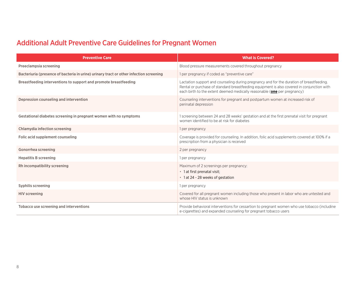# Additional Adult Preventive Care Guidelines for Pregnant Women

| <b>Preventive Care</b>                                                                 | <b>What is Covered?</b>                                                                                                                                                                                                                                                    |
|----------------------------------------------------------------------------------------|----------------------------------------------------------------------------------------------------------------------------------------------------------------------------------------------------------------------------------------------------------------------------|
| Preeclampsia screening                                                                 | Blood pressure measurements covered throughout pregnancy                                                                                                                                                                                                                   |
| Bacteriuria (presence of bacteria in urine) urinary tract or other infection screening | 1 per pregnancy if coded as "preventive care"                                                                                                                                                                                                                              |
| Breastfeeding interventions to support and promote breastfeeding                       | Lactation support and counseling during pregnancy and for the duration of breastfeeding.<br>Rental or purchase of standard breastfeeding equipment is also covered in conjunction with<br>each birth to the extent deemed medically reasonable ( <b>one</b> per pregnancy) |
| Depression counseling and intervention                                                 | Counseling interventions for pregnant and postpartum women at increased risk of<br>perinatal depression                                                                                                                                                                    |
| Gestational diabetes screening in pregnant women with no symptoms                      | 1 screening between 24 and 28 weeks' gestation and at the first prenatal visit for pregnant<br>women identified to be at risk for diabetes                                                                                                                                 |
| Chlamydia infection screening                                                          | 1 per pregnancy                                                                                                                                                                                                                                                            |
| Folic acid supplement counseling                                                       | Coverage is provided for counseling. In addition, folic acid supplements covered at 100% if a<br>prescription from a physician is received                                                                                                                                 |
| Gonorrhea screening                                                                    | 2 per pregnancy                                                                                                                                                                                                                                                            |
| <b>Hepatitis B screening</b>                                                           | 1 per pregnancy                                                                                                                                                                                                                                                            |
| Rh incompatibility screening                                                           | Maximum of 2 screenings per pregnancy:<br>• 1 at first prenatal visit;<br>• 1 at 24 - 28 weeks of gestation                                                                                                                                                                |
| Syphilis screening                                                                     | 1 per pregnancy                                                                                                                                                                                                                                                            |
| <b>HIV screening</b>                                                                   | Covered for all pregnant women including those who present in labor who are untested and<br>whose HIV status is unknown                                                                                                                                                    |
| Tobacco use screening and interventions                                                | Provide behavioral interventions for cessartion to pregnant women who use tobacco (includine<br>e-cigarettes) and expanded counseling for pregnant tobacco users                                                                                                           |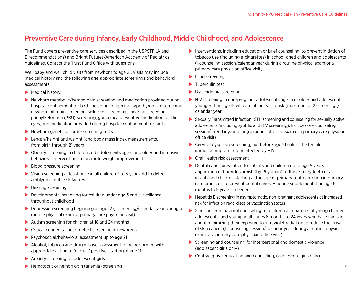## Preventive Care during Infancy, Early Childhood, Middle Childhood, and Adolescence

The Fund covers preventive care services described in the USPSTF (A and B recommendations) and Bright Futures/American Academy of Pediatrics guidelines. Contact the Trust Fund Office with questions.

Well baby and well child visits from newborn to age 21. Visits may include medical history and the following age-appropriate screenings and behavioral assessments:

- $\blacktriangleright$  Medical history
- $\blacktriangleright$  Newborn metabolic/hemoglobin screening and medication provided during hospital confinement for birth including congenital hypothyroidism screening, newborn bilirubin screening, sickle cell screenings, hearing screening, phenylketonuria (PKU) screening, gonorrhea preventive medication for the eyes, and medication provided during hospital confinement for birth
- $\blacktriangleright$  Newborn genetic disorder screening tests
- $\blacktriangleright$  Length/height and weight (and body mass index measurements) from birth through 21 years
- $\triangleright$  Obesity screening in children and adolescents age 6 and older and intensive behavioral interventions to promote weight improvement
- $\blacktriangleright$  Blood pressure screening
- $\triangleright$  Vision screening at least once in all children 3 to 5 years old to detect amblyopia or its risk factors
- $\blacktriangleright$  Hearing screening
- $\triangleright$  Developmental screening for children under age 3 and surveillance throughout childhood
- $\triangleright$  Depression screening beginning at age 12 (1 screening/calendar year during a routine physical exam or primary care physician visit)
- $\blacktriangleright$  Autism screening for children at 18 and 24 months
- $\triangleright$  Critical congenital heart defect screening in newborns
- $\triangleright$  Psychosocial/behavioral assessment up to age 21
- $\blacktriangleright$  Alcohol, tobacco and drug misuse assessment to be performed with appropriate action to follow, if positive, starting at age 11
- $\blacktriangleright$  Anxiety screening for adolescent girls
- $\blacktriangleright$  Interventions, including education or brief counseling, to prevent initiation of tobacco use (including e-cigarettes) in school-aged children and adolescents (1 counseling session/calendar year during a routine physical exam or a primary care physician office visit)
- $\blacktriangleright$  Lead screening
- $\blacktriangleright$  Tuberculin test
- $\blacktriangleright$  Dyslipidemia screening
- $\blacktriangleright$  HIV screening in non-pregnant adolescents age 15 or older and adolescents younger than age 15 who are at increased risk (maximum of 2 screenings/ calendar year)
- $\triangleright$  Sexually Transmitted Infection (STI) screening and counseling for sexually active adolescents (including syphilis and HIV screening). Includes one counseling session/calendar year during a routine physical exam or a primary care physician office visit)
- $\triangleright$  Cervical dysplasia screening, not before age 21 unless the female is immunocompromised or infected by HIV
- $\triangleright$  Oral Health risk assessment
- $\triangleright$  Dental caries prevention for infants and children up to age 5 years; application of fluoride varnish (by Physician) to the primary teeth of all infants and children starting at the age of primary tooth eruption in primary care practices, to prevent dental caries. Fluoride supplementation age 6 months to 5 years if needed
- $\blacktriangleright$  Hepatitis B screening in asymptomatic, non-pregnant adolescents at increased risk for infection regardless of vaccination status
- $\triangleright$  Skin cancer behavioral counseling for children and parents of young children, adolescents, and young adults ages 6 months to 24 years who have fair skin about minimizing their exposure to ultraviolet radiation to reduce their risk of skin cancer (1 counseling session/calendar year during a routine physical exam or a primary care physician office visit)
- $\triangleright$  Screening and counseling for interpersonal and domestic violence (adolescent girls only)
- $\triangleright$  Contraceptive education and counseling, (adolescent girls only)

 $\blacktriangleright$  Hematocrit or hemoglobin (anemia) screening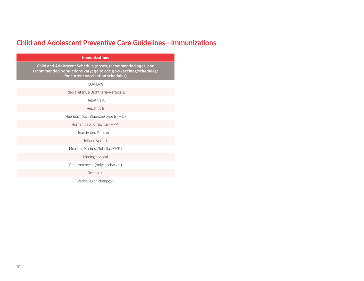# Child and Adolescent Preventive Care Guidelines—Immunizations

| <b>Immunizations</b>                                                                                                                                                 |
|----------------------------------------------------------------------------------------------------------------------------------------------------------------------|
| Child and Adolescent Schedule (doses, recommended ages, and<br>recommended populations vary; go to cdc.gov/vaccines/schedules/<br>for current vaccination schedules) |
| COVID-19                                                                                                                                                             |
| Tdap (Tetanus-Diphtheria-Pertussis)                                                                                                                                  |
| Hepatitis A                                                                                                                                                          |
| <b>Hepatitis B</b>                                                                                                                                                   |
| Haemophilus influenzae type B (Hib)                                                                                                                                  |
| Human papillomavirus (HPV)                                                                                                                                           |
| Inactivated Poliovirus                                                                                                                                               |
| Influenza (flu)                                                                                                                                                      |
| Measles, Mumps, Rubella (MMR)                                                                                                                                        |
| Meningococcal                                                                                                                                                        |
| Pneumococcal (polysaccharide)                                                                                                                                        |
| Rotavirus                                                                                                                                                            |
| Varicella (chickenpox)                                                                                                                                               |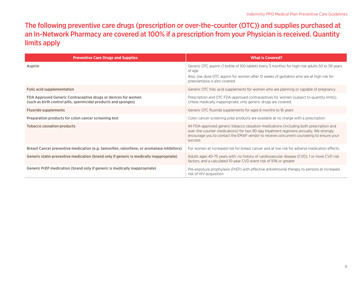## The following preventive care drugs (prescription or over-the-counter (OTC)) and supplies purchased at an In-Network Pharmacy are covered at 100% if a prescription from your Physician is received. Quantity limits apply

| <b>Preventive Care Drugs and Supplies</b>                                                                                        | <b>What is Covered?</b>                                                                                                                                                                                                                                                                        |
|----------------------------------------------------------------------------------------------------------------------------------|------------------------------------------------------------------------------------------------------------------------------------------------------------------------------------------------------------------------------------------------------------------------------------------------|
| Aspirin                                                                                                                          | Generic OTC aspirin (1 bottle of 100 tablets every 3 months) for high-risk adults 50 to 59 years<br>of age.                                                                                                                                                                                    |
|                                                                                                                                  | Also, low dose OTC aspirin for women after 12 weeks of gestation who are at high risk for<br>preeclampsia is also covered.                                                                                                                                                                     |
| Folic acid supplementation                                                                                                       | Generic OTC folic acid supplements for women who are planning or capable of pregnancy                                                                                                                                                                                                          |
| FDA Approved Generic Contraceptive drugs or devices for women<br>(such as birth control pills, spermicidal products and sponges) | Prescription and OTC FDA-approved contraceptives for women (subject to quantity limits).<br>Unless medically inappropriate, only generic drugs are covered.                                                                                                                                    |
| <b>Fluoride supplements</b>                                                                                                      | Generic OTC fluoride supplements for ages 6 months to 16 years                                                                                                                                                                                                                                 |
| Preparation products for colon cancer screening test                                                                             | Colon cancer screening prep products are available at no charge with a prescription                                                                                                                                                                                                            |
| <b>Tobacco cessation products</b>                                                                                                | All FDA-approved generic tobacco cessation medications (including both prescription and<br>over-the-counter medications) for two 90-day treatment regimens annually. We strongly<br>encourage you to contact the EMAP vendor to receive concurrent counseling to ensure your<br><b>SUCCESS</b> |
| Breast Cancer preventive medication (e.g. tamoxifen, raloxifene, or aromatase inhibitors)                                        | For women at increased risk for breast cancer and at low risk for adverse medication effects.                                                                                                                                                                                                  |
| Generic statin preventive medication (brand only if generic is medically inappropriate)                                          | Adults ages 40-75 years with: no history of cardiovascular disease (CVD), 1 or more CVD risk<br>factors, and a calculated 10-year CVD event risk of 10% or greater                                                                                                                             |
| Generic PrEP medication (brand only if generic is medically inappropriate)                                                       | Pre-exposure prophylaxis (PrEP) with effective antiretroviral therapy to persons at increased<br>risk of HIV acquisition                                                                                                                                                                       |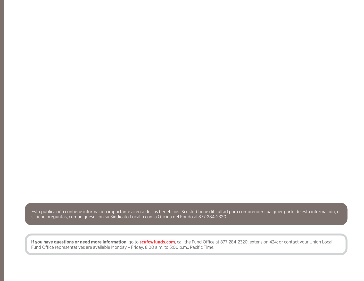Esta publicación contiene información importante acerca de sus beneficios. Si usted tiene dificultad para comprender cualquier parte de esta información, o si tiene preguntas, comuníquese con su Sindicato Local o con la Oficina del Fondo al 877-284-2320.

**If you have questions or need more information**, go to **scufcwfunds.com**, call the Fund Office at 877-284-2320, extension 424; or contact your Union Local. Fund Office representatives are available Monday – Friday, 8:00 a.m. to 5:00 p.m., Pacific Time.